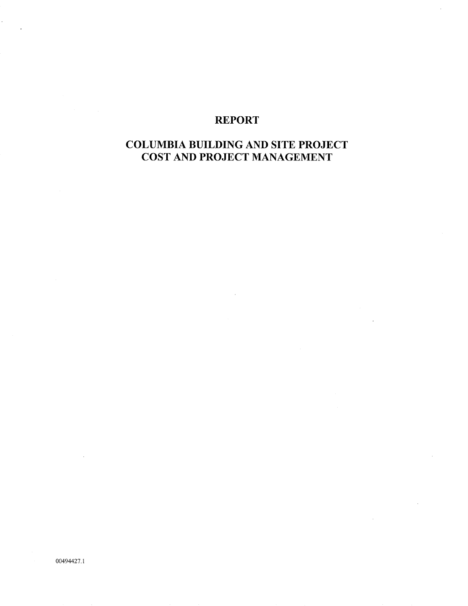## REPORT

# COLUMBIA BUILDING AND SITE PROJECT COST AND PROJECT MANAGEMENT

 $\epsilon_{\parallel}$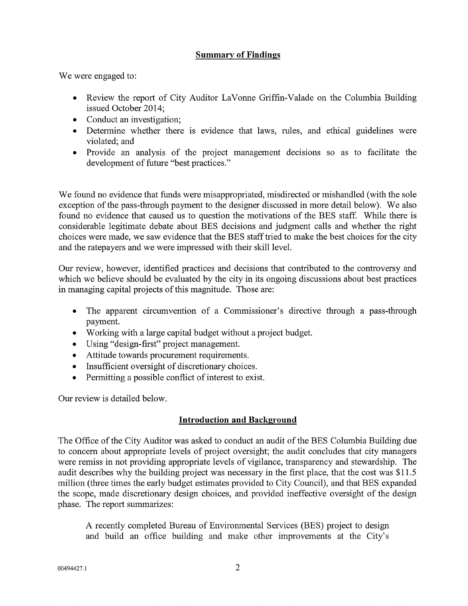#### Summarv of Findings

We were engaged to:

- Review the report of City Auditor LaVonne Griffin-Valade on the Columbia Building issued October 2014;
- Conduct an investigation;
- Determine whether there is evidence that laws, rules, and ethical guidelines were violated; and
- . Provide an analysis of the project management decisions so as to facilitate the development of future "best practices."

'We found no evidence that funds were misappropriated, misdirected or mishandled (with the sole exception of the pass-through payment to the designer discussed in more detail below). We also found no evidence that caused us to question the motivations of the BES staff. While there is considerable legitimate debate about BES decisions and judgment calls and whether the right choices were made, we saw evidence that the BES staff tried to make the best choices for the city and the ratepayers and we were impressed with their skill level.

Our review, however, identified practices and decisions that contributed to the controversy and which we believe should be evaluated by the city in its ongoing discussions about best practices in managing capital projects of this magnitude. Those are:

- The apparent circumvention of a Commissioner's directive through a pass-through paynent.
- Working with a large capital budget without a project budget.
- . Using "design-first" project management.
- Attitude towards procurement requirements.
- . Insufficient oversight of discretionary choices.
- Permitting a possible conflict of interest to exist.

Our review is detailed below

## Introduction and Background

The Office of the City Auditor was asked to conduct an audit of the BES Columbia Building due to concern about appropriate levels of project oversight; the audit concludes that city managers were remiss in not providing appropriate levels of vigilance, transparency and stewardship. The audit describes why the building project was necessary in the first place, that the cost was \$11.5 million (three times the early budget estimates provided to City Council), and that BES expanded the scope, made discretionary design choices, and provided ineffective oversight of the design phase. The report summarizes:

A recently completed Bureau of Environmental Services (BES) project to design and build an office building and make other improvements at the City's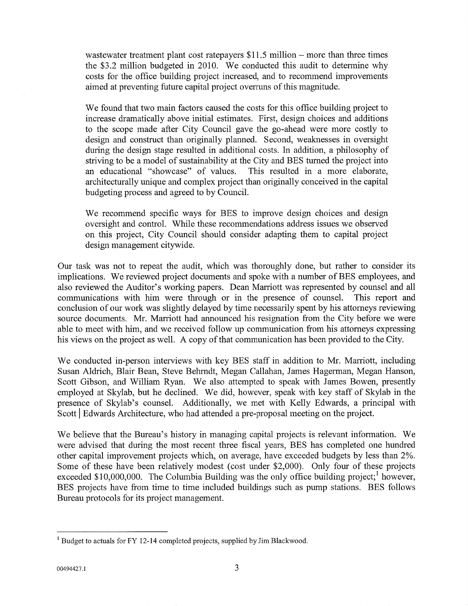wastewater treatment plant cost ratepayers  $$11.5$  million - more than three times the \$3.2 million budgeted in 2010. We conducted this audit to determine why costs for the office building project increased, and to recommend improvements aimed at preventing future capital project overruns of this magnitude.

We found that two main factors caused the costs for this office building project to increase dramatically above initial estimates. First, design choices and additions to the scope made after City Council gave the go-ahead were more costly to design and construct than originally planned. Second, weaknesses in oversight during the design stage resulted in additional costs. In addition, a philosophy of striving to be a model of sustainability at the City and BES turned the project into an educational "showcase" of values. This resulted in a more elaborate, architecturally unique and complex project than originally conceived in the capital budgeting process and agreed to by Council.

We recommend specific ways for BES to improve design choices and design oversight and control. While these recommendations address issues we observed on this project, City Council should consider adapting them to capital project design management citywide.

Our task was not to repeat the audit, which was thoroughly done, but rather to consider its implications. 'We reviewed project documents and spoke with a number of BES employees, and also reviewed the Auditor's working papers. Dean Marriott was represented by counsel and all communications with him were through or in the presence of counsel. This report and conciusion of our work was slightly delayed by time necessarily spent by his attorneys reviewing source documents. Mr. Marriott had announced his resignation from the City before we were able to meet with him, and we received follow up communication from his attorneys expressing his views on the project as well. A copy of that communication has been provided to the City.

We conducted in-person interviews with key BES staff in addition to Mr. Marriott, including Susan Aldrich, Blair Bean, Steve Behrrrdt, Megan Callahan, James Hagerman, Megan Hanson, Scott Gibson, and William Ryan. We also attempted to speak with James Bowen, presently employed at Skylab, but he declined. We did, however, speak with key staff of Skylab in the presence of Skylab's counsel. Additionally, we met with Kelly Edwards, a principal with Scoft | Edwards Architecture, who had attended a pre-proposal meeting on the project.

We believe that the Bureau's history in managing capital projects is relevant information. We were advised that during the most recent three fiscal years, BES has completed one hundred other capital improvement projects which, on average, have exceeded budgets by less than 2%. Some of these have been relatively modest (cost under \$2,000). Only four of these projects exceeded \$10,000,000. The Columbia Building was the only office building project; however, BES projects have from time to time included buildings such as pump stations. BES follows Bureau protocols for its project management.

<sup>&</sup>lt;sup>1</sup> Budget to actuals for FY 12-14 completed projects, supplied by Jim Blackwood.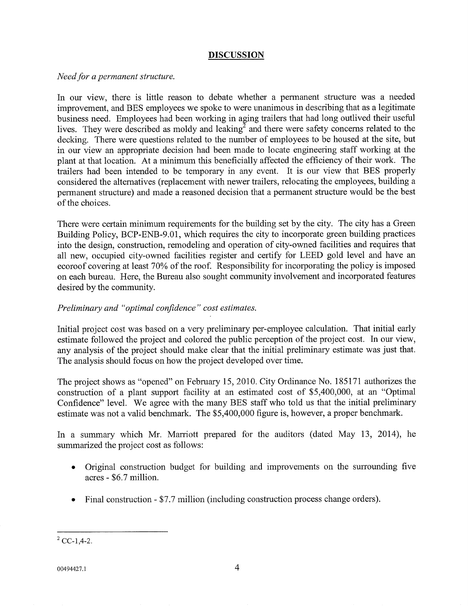## DISCUSSION

Need for a permanent structure.

In our view, there is little reason to debate whether a permanent structure was a needed improvement, and BES employees we spoke to were unanimous in describing that as a legitimate business need. Employees had been working in aging trailers that had long outlived their useful lives. They were described as moldy and leaking<sup>2</sup> and there were safety concerns related to the decking. There were questions related to the number of employees to be housed at the site, but in our view an appropriate decision had been made to locate engineering staff working at the plant at that location. At a minimum this beneficially affected the efficiency of their work. The trailers had been intended to be temporary in any event. It is our view that BES properly considered the altematives (replacement with newer trailers, relocating the employees, building a pennanent structure) and made a reasoned decision that a permanent structure would be the best of the choices.

There were certain minimum requirements for the building set by the city. The city has a Green Building Policy, BCP-ENB-9.01, which requires the city to incorporate green building practices into the design, construction, remodeling and operation of city-owned facilities and requires that all new, occupied city-owned facilities register and certify for LEED gold level and have an ecoroof covering at least 70% of the roof. Responsibility for incorporating the policy is imposed on each bureau. Here, the Bureau also sought community involvement and incorporated features desired by the community.

## Preliminary and "optimal confidence" cost estimates

Initial project cost was based on a very preliminary per-employee calculation. That initial early estimate followed the project and colored the public perception of the project cost. In our view, any analysis of the project should make clear that the initial preliminary estimate was just that. The analysis should focus on how the project developed over time.

The project shows as "opened" on February 15,2010. City Ordinance No. 185171 authorizes the construction of a plant support facility at an estimated cost of \$5,400,000, at an "Optimal Confidence" level. We agree with the many BES staff who told us that the initial preliminary estimate was not a valid benchmark. The \$5,400,000 figure is, however, a proper benchmark.

In a summary which Mr. Marriott prepared for the auditors (dated May 13, 2014), he summarized the project cost as follows:

- Original construction budget for building and improvements on the surrounding {ive acres - \$6.7 million. o
- Final construction \$7.7 million (including construction process change orders). a

 ${}^{2}$  CC-1,4-2.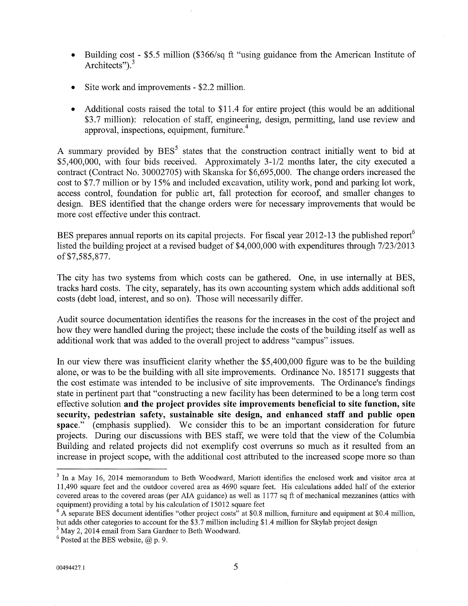- Building cost \$5.5 million (\$366/sq ft "using guidance from the American Institute of  $\bullet$ Architects").<sup>3</sup>
- Site work and improvements \$2.2 million.
- Additional costs raised the total to \$11.4 for entire project (this would be an additional \$3.7 million): relocation of staff, engineering, design, permitting, land use review and approval, inspections, equipment, furniture. $4$

A summary provided by  $BES<sup>5</sup>$  states that the construction contract initially went to bid at \$5,400,000, with four bids received. Approximately 3-1/2 months later, the city executed a contract (Contract No. 30002705) with Skanska for \$6,695,000. The change orders increased the cost to \$7.7 million or by 15% and included excavation, utility work, pond and parking lot work, access control, foundation for public art, fall protection for ecoroof, and smaller changes to design. BES identified that the change orders were for necessary improvements that would be more cost effective under this contract.

BES prepares annual reports on its capital projects. For fiscal year 2012-13 the published report<sup>6</sup> listed the building project at a revised budget of \$4,000,000 with expenditures through 7123/2013 of \$7,585,877.

The city has two systems from which costs can be gathered. One, in use internally at BES, tracks hard costs. The city, separately, has its own accounting system which adds additional soft costs (debt load, interest, and so on). Those will necessarily differ.

Audit source documentation identifies the reasons for the increases in the cost of the project and how they were handled during the project; these include the costs of the building itself as well as additional work that was added to the overall project to address "campus" issues.

In our view there was insufficient clarity whether the \$5,400,000 figure was to be the building alone, or was to be the building with all site improvements. Ordinance No. 185171 suggests that the cost estimate was intended to be inclusive of site improvements. The Ordinance's findings state in pertinent part that "constructing a new facility has been determined to be a long term cost effective solution and the project provides site improvements beneficial to site function, site security, pedestrian safety, sustainable site design, and enhanced staff and public open space." (emphasis supplied). We consider this to be an important consideration for future projects. During our discussions with BES staff, we were told that the view of the Columbia Building and related projects did not exemplify cost overruns so much as it resulted from an increase in project scope, with the additional cost attributed to the increased scope more so than

 $3$  In a May 16, 2014 memorandum to Beth Woodward, Mariott identifies the enclosed work and visitor area at 11,490 square feet and the outdoor covered area as 4690 square feet. His calculations added half of the exterior covered areas to the covered areas (per AIA guidance) as well as 1177 sq ft of mechanical mezzanines (attics with equipment) providing a total by his calculation of 15012 square feet

<sup>&</sup>lt;sup>4</sup> A separate BES document identifies "other project costs" at \$0.8 million, furniture and equipment at \$0.4 million, but adds other categories to account for the \$3.7 million including \$1.4 million for Skylab project design

 $5$  May 2, 2014 email from Sara Gardner to Beth Woodward.

 $6$  Posted at the BES website,  $(a)$  p. 9.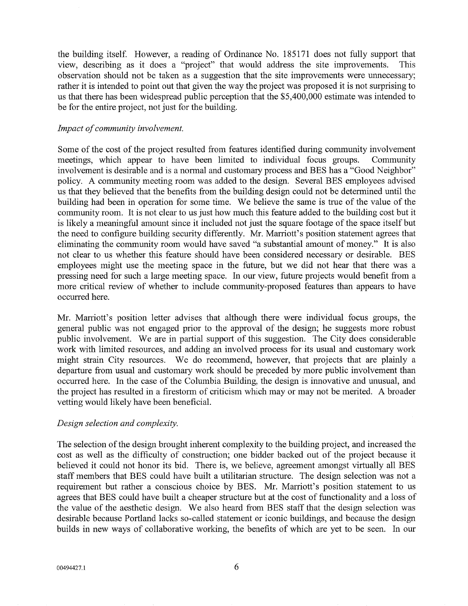the building itself. However, a reading of Ordinance No. 185171 does not fully support that view, describing as it does a "project" that would address the site improvements. This observation should not be taken as a suggestion that the site improvements were unnecessary; rather it is intended to point out that given the way the project was proposed it is not surprising to us that there has been widespread public perception that the \$5,400,000 estimate was intended to be for the entire project, not just for the building.

#### Impact of community involvement

Some of the cost of the project resulted from features identified during community involvement meetings, which appear to have been limited to individual focus groups. Community involvement is desirable and is a normal and customary process and BES has a "Good Neighbor" policy. A community meeting room was added to the design. Several BES employees advised us that they believed that the benefits from the building design could not be determined until the building had been in operation for some time. 'We believe the same is true of the value of the community room. It is not clear to us just how much this feature added to the building cost but it is likely a meaningful amount since it included not just the square footage of the space itself but the need to configure building security differently. Mr. Marriott's position statement agrees that eliminating the community room would have saved "a substantial amount of money." It is also not ciear to us whether this feature should have been considered necessary or desirable. BES employees might use the meeting space in the future, but we did not hear that there was a pressing need for such a large meeting space. In our view, future projects would benefit from a more critical review of whether to include community-proposed features than appears to have occurred here.

Mr. Marriott's position letter advises that although there were individual focus groups, the general public was not engaged prior to the approval of the design; he suggests more robust public involvement. We are in partial support of this suggestion. The City does considerable work with limited resources, and adding an involved process for its usual and customary work might strain City resources. 'We do recommend, however, that projects that are plainly a departure from usual and customary work should be preceded by more public involvement than occurred here. In the case of the Columbia Building, the design is innovative and unusual, and the project has resulted in a firestorm of criticism which may or may not be merited. A broader vetting would likely have been beneficial.

## Design selection and complexity

The selection of the design brought inherent complexity to the building project, and increased the cost as well as the difficulty of construction; one bidder backed out of the project because it believed it could not honor its bid. There is, we believe, agreement amongst virtually all BES staff members that BES could have built a utilitarian structure. The design selection was not a requirement but rather a conscious choice by BES. Mr. Marriott's position statement to us agrees that BES could have built a cheaper structure but at the cost of functionality and a loss of the value of the aesthetic design. We also heard from BES staff that the design selection was desirable because Portland lacks so-called statement or iconic buildings, and because the design builds in new ways of collaborative working, the benefits of which are yet to be seen. In our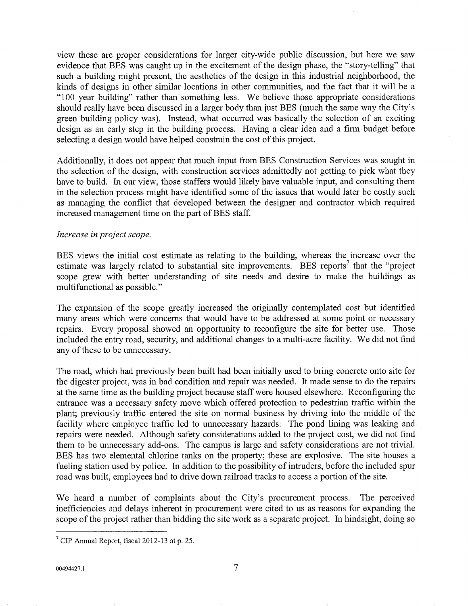view these are proper considerations for larger city-wide public discussion, but here we saw evidence that BES was caught up in the excitement of the design phase, the "story-telling" that such a building might present, the aesthetics of the design in this industrial neighborhood, the kinds of designs in other similar locations in other communities, and the fact that it will be a "100 year building" rather than something less. We believe those appropriate considerations should really have been discussed in alarger body than just BES (much the same way the City's green building policy was). Instead, what occurred was basically the selection of an exciting design as an early step in the building process. Having a clear idea and a firm budget before selecting a design would have helped constrain the cost of this project.

Additionally, it does not appear that much input from BES Construction Seruices was sought in the selection of the design, with construction services admittedly not getting to pick what they have to build. In our view, those staffers would likely have valuable input, and consulting them in the selection process might have identified some of the issues that would later be costly such as managing the conflict that developed between the designer and contractor which required increased management time on the part of BES staff.

#### Increase in project scope.

BES views the initial cost estimate as relating to the building, whereas the increase over the estimate was largely related to substantial site improvements. BES reports<sup>7</sup> that the "project scope grew with better understanding of site needs and desire to make the buildings as multifunctional as possible."

The expansion of the scope greatly increased the originally contemplated cost but identified many areas which were concerns that would have to be addressed at some point or necessary repairs. Every proposal showed an opportunity to reconfigure the site for better use. Those included the entry road, security, and additional changes to a multi-acre facility. We did not find any of these to be unnecessary.

The road, which had previously been built had been initially used to bring concrete onto site for the digester project, was in bad condition and repair was needed. It made sense to do the repairs at the same time as the building project because staff were housed elsewhere. Reconfiguring the entrance was a necessary safety move which offered protection to pedestrian traffic within the plant; previously traffic entered the site on normal business by driving into the middle of the facility where employee traffic led to unnecessary hazards; The pond lining was leaking and repairs were needed. Although safety considerations added to the project cost, we did not find them to be unnecessary add-ons. The campus is large and safety considerations are not trivial. BES has two elemental chlorine tanks on the property; these are explosive. The site houses a fueling station used by police. In addition to the possibility of intruders, before the included spur road was built, employees had to drive down railroad tracks to access a portion of the site.

We heard a number of complaints about the City's procurement process. The perceived inefficiencies and delays inherent in procurement were cited to us as reasons for expanding the scope of the project rather than bidding the site work as a separate project. In hindsight, doing so

 $<sup>7</sup>$  CIP Annual Report, fiscal 2012-13 at p. 25.</sup>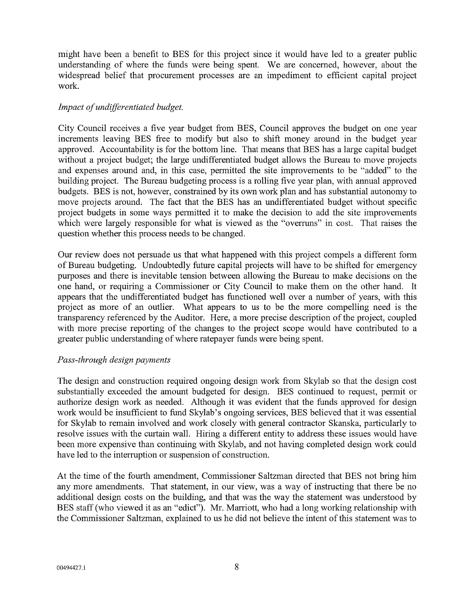might have been a benefit to BES for this project since it would have led to a greater public understanding of where the funds were being spent. We are concerned, however, about the widespread belief that procurement processes are an impediment to efficient capital project work.

#### Impact of undifferentiated budget.

City Council receives a five year budget from BES, Council approves the budget on one year increments leaving BES free to modify but also to shift money around in the budget year approved. Accountability is for the bottom line. That means that BES has a large capital budget without a project budget; the large undifferentiated budget allows the Bureau to move projects and expenses around and, in this case, permitted the site improvements to be "added" to the building project. The Bureau budgeting process is a rolling five year plan, with annual approved budgets. BES is not, however, constrained by its own work plan and has substantial autonomy to move projects around. The fact that the BES has an undifferentiated budget without specific project budgets in some ways permitted it to make the decision to add the site improvements which were largely responsible for what is viewed as the "overruns" in cost. That raises the question whether this process needs to be changed.

Our review does not persuade us that what happened with this project compels a different form of Bureau budgeting. Undoubtedly future capital projects will have to be shifted for emergency purposes and there is inevitable tension between allowing the Bureau to make decisions on the one hand, or requiring a Commissioner or City Council to make them on the other hand. It appears that the undifferentiated budget has functioned well over a number of years, with this project as more of an outlier. What appears to us to be the more compelling need is the transparency referenced by the Auditor. Here, a more precise description of the project, coupled with more precise reporting of the changes to the project scope would have contributed to a greater public understanding of where ratepayer funds were being spent.

#### Pass-through design payments

The design and construction required ongoing design work from Skylab so that the design cost substantially exceeded the amount budgeted for design. BES continued to request, permit or authorize design work as needed. Although it was evident that the funds approved for design work would be insufficient to fund Skylab's ongoing services, BES believed that it was essential for Skylab to remain involved and work closely with general contractor Skanska, particularly to resolve issues with the curtain wall. Hiring a different entity to address these issues would have been more expensive than continuing with Skylab, and not having completed design work could have led to the interruption or suspension of construction.

At the time of the fourth amendment, Commissioner Saltzman directed that BES not bring him any more amendments. That statement, in our view, was a way of instructing that there be no additional design costs on the building, and that was the way the statement was understood by BES staff (who viewed it as an "edict"). Mr. Marriott, who had a long working relationship with the Commissioner Saltzman, explained to us he did not believe the intent of this statement was to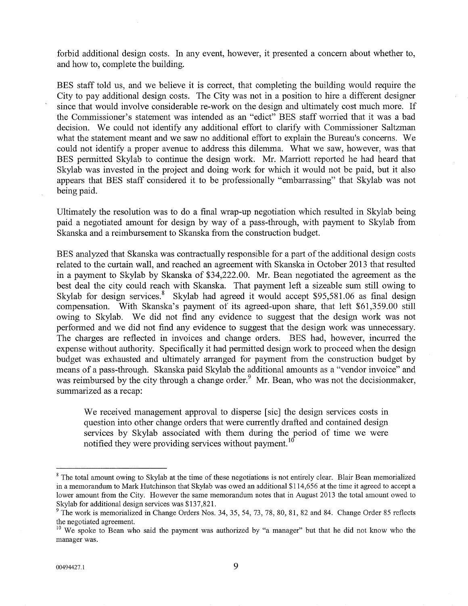forbid additional design costs. In any event, however, it presented a concern about whether to, and how to, complete the building.

BES staff told us, and we believe it is correct, that completing the building would require the City to pay additional design costs. The City was not in a position to hire a different designer since that would involve considerable re-work on the design and ultimately cost much more. If the Commissioner's statement was intended as an "edict" BES staff worried that it was a bad decision. We could not identify any additional effort to clarify with Commissioner Saltzman what the statement meant and we saw no additional effort to explain the Bureau's concerns. We could not identify a proper avenue to address this dilemma. What we saw, however, was that BES permitted Skylab to continue the design work. Mr. Marriott reported he had heard that Skylab was invested in the project and doing work for which it would not be paid, but it also appears that BES staff considered it to be professionally "embarassing" that Skylab was not being paid.

Ultimately the resolution was to do a final wrap-up negotiation which resulted in Skylab being paid a negotiated amount for design by way of a pass-through, with payment to Skylab from Skanska and a reimbursement to Skanska from the construction budget.

BES analyzed that Skanska was contractually responsible for a part of the additional design costs related to the curtain wail, and reached an agreement with Skanska in October 2013 that resulted in a payment to Skylab by Skanska of 534,222.00. Mr. Bean negotiated the agreement as the best deal the city could reach with Skanska. That payment left a sizeable sum still owing to Skylab for design services.<sup>8</sup> Skylab had agreed it would accept \$95,581.06 as final design compensation. With Skanska's payment of its agreed-upon share, that left \$61,359.00 still owing to Skylab. We did not find any evidence to suggest that the design work was not performed and we did not find any evidence to suggest that the design work was unnecessary. The charges are reflected in invoices and change orders. BES had, however, incurred the expense without authority. Specifically it had permitted design work to proceed when the design budget was exhausted and ultimately arranged for payment from the construction budget by means of a pass-through. Skanska paid Skylab the additional amounts as a "vendor invoice" and was reimbursed by the city through a change order.<sup>9</sup> Mr. Bean, who was not the decisionmaker, summarized as a recap:

We received management approval to disperse [sic] the design services costs in question into other change orders that were cumently drafted and contained design services by Skylab associated with them during the period of time we were notified they were providing services without payment.<sup>10</sup>

 $8$  The total amount owing to Skylab at the time of these negotiations is not entirely clear. Blair Bean memorialized in a memorandum to Mark Hutchinson that Skylab was owed an additional \$114,656 at the time it agreed to accept a lower amount from the City. However the same memorandum notes that in August 2013 fhe total amount owed to Skylab for additional design services was \$137,821.

<sup>&</sup>lt;sup>9</sup> The work is memorialized in Change Orders Nos. 34, 35, 54, 73, 78, 80, 81, 82 and 84. Change Order 85 reflects the negotiated agreement.

<sup>&</sup>lt;sup>10</sup> We spoke to Bean who said the payment was authorized by "a manager" but that he did not know who the manager was.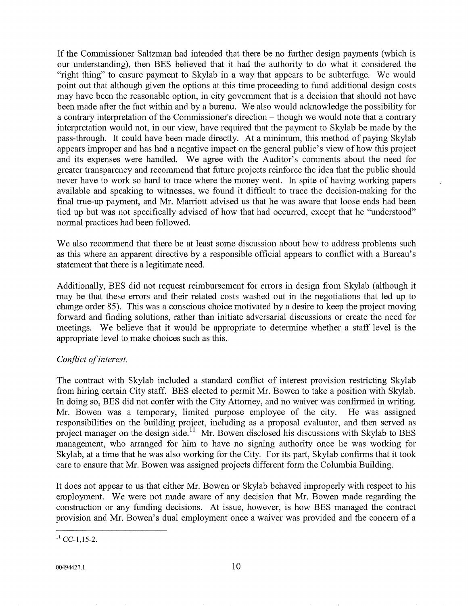If the Commissioner Saltzman had intended that there be no fuither design payments (which is our understanding), then BES believed that it had the authority to do what it considered the "right thing" to ensure payment to Skylab in a way that appears to be subterfuge. We would point out that although given the options at this time proceeding to fund additional design costs may have been the reasonable option, in city government that is a decision that should not have been made after the fact within and by a bureau. 'We also would acknowledge the possibility for a contrary interpretation of the Commissioner's direction – though we would note that a contrary interpretation would not, in our view, have required that the payment to Skylab be made by the pass-through. It could have been made directly. At a minimum, this method of paying Skylab appears improper and has had a negative impact on the general public's vìew of how this project and its expenses were handled. We agree with the Auditor's comments about the need for greater transparency and recommend that future projects reinforce the idea that the public should never have to work so hard to trace where the money went. In spite of having working papers available and speaking to witnesses, we found it difficult to trace the decision-making for the final true-up payment, and Mr. Marriott advised us that he was aware that loose ends had been tied up but was not specifically advised of how that had occurred, except that he "understood" normal practices had been followed.

We also recommend that there be at least some discussion about how to address problems such as this where an apparent directive by a responsible official appears to conflict with a Bureau's statement that there is a legitimate need.

Additionally, BES did not request reimbursement for errors in design from Skylab (although it may be that these errors and their related costs washed out in the negotiations that led up to change order 85). This was a conscious choice motivated by a desire to keep the project moving forward and finding solutions, rather than initiate adversarial discussions or create the need for meetings. We believe that it would be appropriate to determine whether a staff level is the appropriate level to make choices such as this.

## Conflict of interest.

The contract with Skylab included a standard conflict of interest provision restricting Skylab from hiring certain City staff. BES elected to permit Mr. Bowen to take a position with Skylab. In doing so, BES did not confer with the City Attomey, and no waiver was confirmed in writing. Mr. Bowen was a temporary, limited purpose employee of the city. He was assigned responsibilities on the building project, including as a proposal evaluator, and then served as project manager on the design side.<sup> $11$ </sup> Mr. Bowen disclosed his discussions with Skylab to BES management, who arranged for him to have no signing authority once he was working for Skylab, at a time that he was also working for the City. For its part, Skylab confirms that it took care to ensure that Mr. Bowen was assigned projects different form the Columbia Building.

It does not appear to us that either Mr. Bowen or Skylab behaved improperly with respect to his employment. We were not made aware of any decision that Mr. Bowen made regarding the construction or any funding decisions. At issue, however, is how BES managed the contract provision and Mr. Bowen's dual employment once a waiver was provided and the concern of a

 $11$  CC-1,15-2.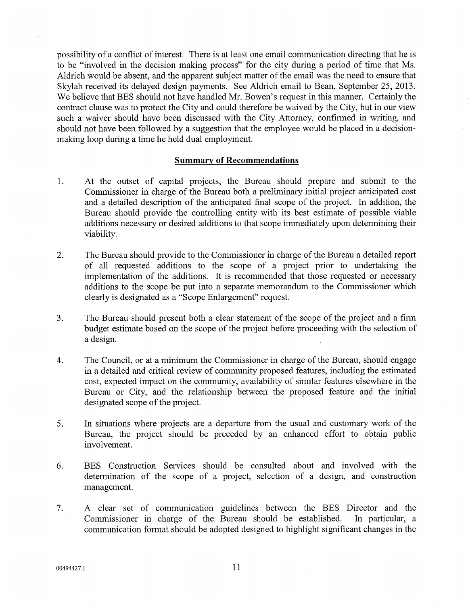possibility of a conflict of interest. There is at least one email communication directing that he is to be "involved in the decision making process" for the city during a period of time that Ms. Aldrich would be absent, and the apparent subject matter of the email was the need to ensure that Skylab received its delayed design payments. See Aldrich email to Bean, September 25,2013. We believe that BES should not have handled Mr. Bowen's request in this manner. Certainly the contract clause was to protect the City and could therefore be waived by the City, but in our view such a waiver should have been discussed with the City Attorney, confirmed in writing, and should not have been followed by a suggestion that the employee would be placed in a decisionmaking loop during a time he held dual employment.

#### Summarv of Recommendations

- 1 At the outset of capital projects, the Bureau should prepare and submit to the Commissioner in charge of the Bureau both a preliminary initial project anticipated cost and a detailed description of the anticipated final scope of the project. In addition, the Bureau should provide the controlling entity with its best estimate of possible viable additions necessary or desired additions to that scope immediately upon determining their viability.
- The Bureau should provide to the Commissioner in charge of the Bureau a detailed report of all requested additions to the scope of a project prior to undertaking the implementation of the additions. It is recommended that those requested or necessary additions to the scope be put into a separate memorandum to the Commissioner which clearly is designated as a "Scope Enlargement" request. 2
- The Bureau should present both a clear statement of the scope of the project and a firm budget estimate based on the scope of the project before proceeding with the selection of a design. J
- The Council, or at a minimum the Commissioner in charge of the Bureau, should engage in a detailed and critical review of community proposed features, including the estimated cost, expected impact on the community, availability of similar features elsewhere in the Bureau or City, and the relationship between the proposed feature and the initial designated scope of the project. 4
- In situations where projects are a departure from the usual and customary work of the Bureau, the project should be preceded by an enhanced effort to obtain public involvement. 5
- BES Construction Services should be consulted about and involved with the detennination of the scope of a project, selection of a design, and construction management. 6
- A clear set of communication guidelines between the BES Director and the Commissioner in charge of the Bureau should be established. In parlicular, a communication format should be adopted designed to highlight significant changes in the 7.